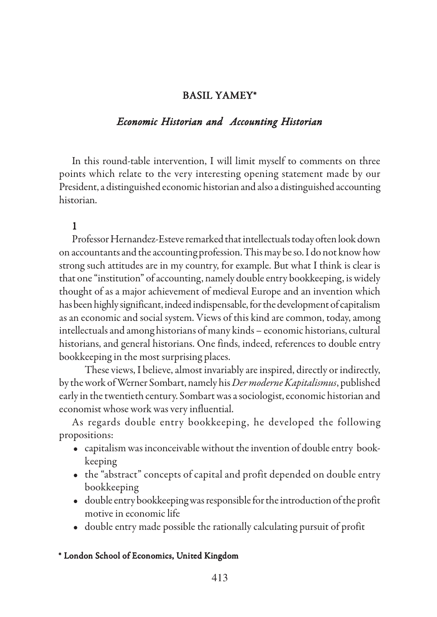## BASIL YAMEY\* BASIL YAMEY\*

### *Economic Historian and Accounting Historian*

In this round-table intervention, I will limit myself to comments on three points which relate to the very interesting opening statement made by our President, a distinguished economic historian and also a distinguished accounting historian.

## 1

Professor Hernandez-Esteve remarked that intellectuals today often look down on accountants and the accounting profession. This may be so. I do not know how strong such attitudes are in my country, for example. But what I think is clear is that one "institution" of accounting, namely double entry bookkeeping, is widely thought of as a major achievement of medieval Europe and an invention which has been highly significant, indeed indispensable, for the development of capitalism as an economic and social system. Views of this kind are common, today, among intellectuals and among historians of many kinds – economic historians, cultural historians, and general historians. One finds, indeed, references to double entry bookkeeping in the most surprising places.

These views, I believe, almost invariably are inspired, directly or indirectly, by the work of Werner Sombart, namely his *Der moderne Kapitalismus*, published early in the twentieth century. Sombart was a sociologist, economic historian and economist whose work was very influential.

As regards double entry bookkeeping, he developed the following propositions:

- capitalism was inconceivable without the invention of double entry bookkeeping
- the "abstract" concepts of capital and profit depended on double entry bookkeeping
- double entry bookkeeping was responsible for the introduction of the profit motive in economic life
- double entry made possible the rationally calculating pursuit of profit

#### \* London School of Economics, United Kingdom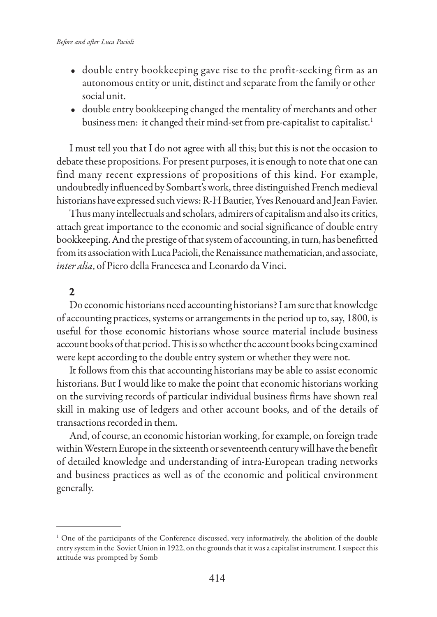- double entry bookkeeping gave rise to the profit-seeking firm as an autonomous entity or unit, distinct and separate from the family or other social unit.
- double entry bookkeeping changed the mentality of merchants and other business men: it changed their mind-set from pre-capitalist to capitalist.<sup>1</sup>

I must tell you that I do not agree with all this; but this is not the occasion to debate these propositions. For present purposes, it is enough to note that one can find many recent expressions of propositions of this kind. For example, undoubtedly influenced by Sombart's work, three distinguished French medieval historians have expressed such views: R-H Bautier, Yves Renouard and Jean Favier.

Thus many intellectuals and scholars, admirers of capitalism and also its critics, attach great importance to the economic and social significance of double entry bookkeeping. And the prestige of that system of accounting, in turn, has benefitted from its association with Luca Pacioli, the Renaissance mathematician, and associate, *inter alia*, of Piero della Francesca and Leonardo da Vinci.

# 2

Do economic historians need accounting historians? I am sure that knowledge of accounting practices, systems or arrangements in the period up to, say, 1800, is useful for those economic historians whose source material include business account books of that period. This is so whether the account books being examined were kept according to the double entry system or whether they were not.

It follows from this that accounting historians may be able to assist economic historians. But I would like to make the point that economic historians working on the surviving records of particular individual business firms have shown real skill in making use of ledgers and other account books, and of the details of transactions recorded in them.

And, of course, an economic historian working, for example, on foreign trade within Western Europe in the sixteenth or seventeenth century will have the benefit of detailed knowledge and understanding of intra-European trading networks and business practices as well as of the economic and political environment generally.

<sup>1</sup> One of the participants of the Conference discussed, very informatively, the abolition of the double entry system in the Soviet Union in 1922, on the grounds that it was a capitalist instrument. I suspect this attitude was prompted by Somb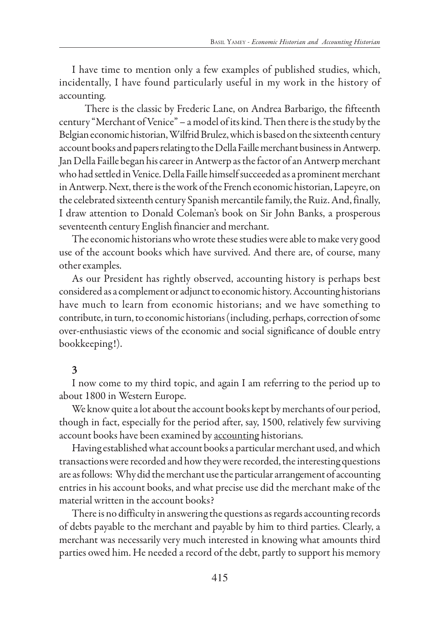I have time to mention only a few examples of published studies, which, incidentally, I have found particularly useful in my work in the history of accounting.

There is the classic by Frederic Lane, on Andrea Barbarigo, the fifteenth century "Merchant of Venice" – a model of its kind. Then there is the study by the Belgian economic historian, Wilfrid Brulez, which is based on the sixteenth century account books and papers relating to the Della Faille merchant business in Antwerp. Jan Della Faille began his career in Antwerp as the factor of an Antwerp merchant who had settled in Venice. Della Faille himself succeeded as a prominent merchant in Antwerp. Next, there is the work of the French economic historian, Lapeyre, on the celebrated sixteenth century Spanish mercantile family, the Ruiz. And, finally, I draw attention to Donald Coleman's book on Sir John Banks, a prosperous seventeenth century English financier and merchant.

The economic historians who wrote these studies were able to make very good use of the account books which have survived. And there are, of course, many other examples.

As our President has rightly observed, accounting history is perhaps best considered as a complement or adjunct to economic history. Accounting historians have much to learn from economic historians; and we have something to contribute, in turn, to economic historians (including, perhaps, correction of some over-enthusiastic views of the economic and social significance of double entry bookkeeping!).

# 3

I now come to my third topic, and again I am referring to the period up to about 1800 in Western Europe.

We know quite a lot about the account books kept by merchants of our period, though in fact, especially for the period after, say, 1500, relatively few surviving account books have been examined by accounting historians.

Having established what account books a particular merchant used, and which transactions were recorded and how they were recorded, the interesting questions are as follows: Why did the merchant use the particular arrangement of accounting entries in his account books, and what precise use did the merchant make of the material written in the account books?

There is no difficulty in answering the questions as regards accounting records of debts payable to the merchant and payable by him to third parties. Clearly, a merchant was necessarily very much interested in knowing what amounts third parties owed him. He needed a record of the debt, partly to support his memory